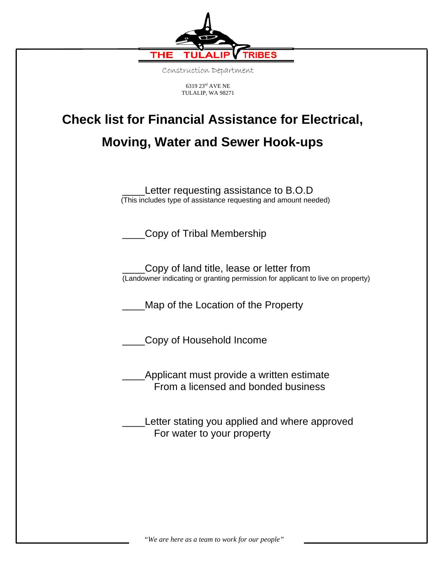Construction Department

ΤH

6319 23rd AVE NE TULALIP, WA 98271

# **Check list for Financial Assistance for Electrical,**

## **Moving, Water and Sewer Hook-ups**

Letter requesting assistance to B.O.D (This includes type of assistance requesting and amount needed)

Copy of Tribal Membership

**\_\_\_\_\_Copy of land title, lease or letter from**<br>(Landowner indicating or granting permission for applicant to live on property)

Map of the Location of the Property

\_\_\_\_Copy of Household Income

Applicant must provide a written estimate From a licensed and bonded business

Letter stating you applied and where approved For water to your property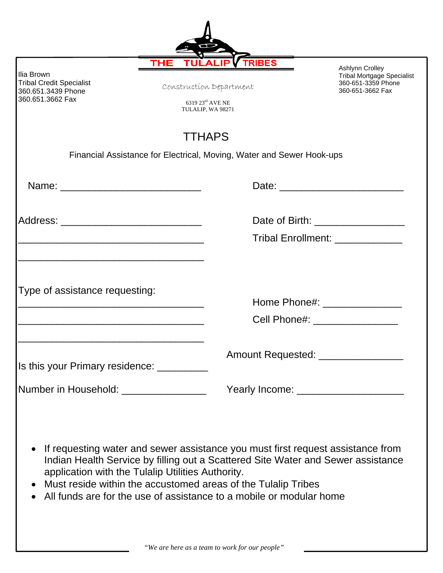| Ilia Brown<br><b>Tribal Credit Specialist</b><br>360.651.3439 Phone | LALIP TRIBES<br>THE TU<br>Construction Department                                                                     | Ashlynn Crolley<br><b>Tribal Mortgage Specialist</b><br>360-651-3359 Phone<br>360-651-3662 Fax |
|---------------------------------------------------------------------|-----------------------------------------------------------------------------------------------------------------------|------------------------------------------------------------------------------------------------|
| 360.651.3662 Fax                                                    | 6319 23rd AVE NE<br>TULALIP, WA 98271                                                                                 |                                                                                                |
|                                                                     | <b>TTHAPS</b>                                                                                                         |                                                                                                |
|                                                                     | Financial Assistance for Electrical, Moving, Water and Sewer Hook-ups                                                 |                                                                                                |
|                                                                     |                                                                                                                       |                                                                                                |
| Address: _______________________________                            |                                                                                                                       |                                                                                                |
|                                                                     | <u> 1989 - Johann Harry Harry Harry Harry Harry Harry Harry Harry Harry Harry Harry Harry Harry Harry Harry Harry</u> | Tribal Enrollment: ____________                                                                |
|                                                                     |                                                                                                                       |                                                                                                |
| Type of assistance requesting:                                      |                                                                                                                       | Home Phone#: ________________                                                                  |
|                                                                     |                                                                                                                       | Cell Phone#: ________________                                                                  |
|                                                                     |                                                                                                                       | Amount Requested: ___________________                                                          |
|                                                                     |                                                                                                                       |                                                                                                |
| Is this your Primary residence: _________                           | Number in Household: __________________                                                                               |                                                                                                |
|                                                                     |                                                                                                                       |                                                                                                |

*"We are here as a team to work for our people"*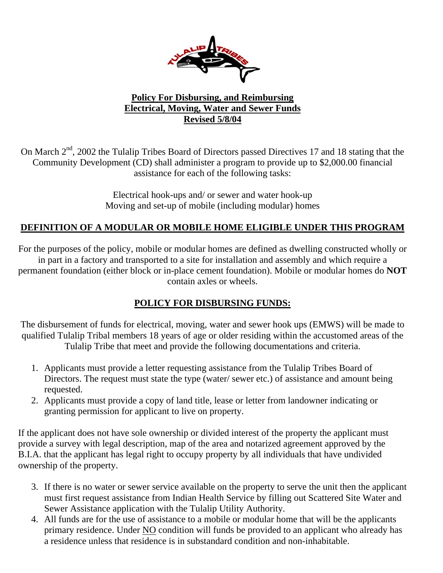

#### **Policy For Disbursing, and Reimbursing Electrical, Moving, Water and Sewer Funds Revised 5/8/04**

On March  $2<sup>nd</sup>$ , 2002 the Tulalip Tribes Board of Directors passed Directives 17 and 18 stating that the Community Development (CD) shall administer a program to provide up to \$2,000.00 financial assistance for each of the following tasks:

> Electrical hook-ups and/ or sewer and water hook-up Moving and set-up of mobile (including modular) homes

#### **DEFINITION OF A MODULAR OR MOBILE HOME ELIGIBLE UNDER THIS PROGRAM**

For the purposes of the policy, mobile or modular homes are defined as dwelling constructed wholly or in part in a factory and transported to a site for installation and assembly and which require a permanent foundation (either block or in-place cement foundation). Mobile or modular homes do **NOT** contain axles or wheels.

### **POLICY FOR DISBURSING FUNDS:**

The disbursement of funds for electrical, moving, water and sewer hook ups (EMWS) will be made to qualified Tulalip Tribal members 18 years of age or older residing within the accustomed areas of the Tulalip Tribe that meet and provide the following documentations and criteria.

- 1. Applicants must provide a letter requesting assistance from the Tulalip Tribes Board of Directors. The request must state the type (water/ sewer etc.) of assistance and amount being requested.
- 2. Applicants must provide a copy of land title, lease or letter from landowner indicating or granting permission for applicant to live on property.

If the applicant does not have sole ownership or divided interest of the property the applicant must provide a survey with legal description, map of the area and notarized agreement approved by the B.I.A. that the applicant has legal right to occupy property by all individuals that have undivided ownership of the property.

- 3. If there is no water or sewer service available on the property to serve the unit then the applicant must first request assistance from Indian Health Service by filling out Scattered Site Water and Sewer Assistance application with the Tulalip Utility Authority.
- 4. All funds are for the use of assistance to a mobile or modular home that will be the applicants primary residence. Under NO condition will funds be provided to an applicant who already has a residence unless that residence is in substandard condition and non-inhabitable.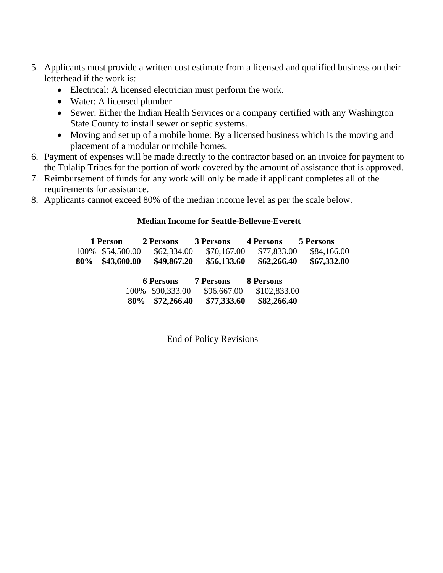- 5. Applicants must provide a written cost estimate from a licensed and qualified business on their letterhead if the work is:
	- Electrical: A licensed electrician must perform the work.
	- Water: A licensed plumber
	- Sewer: Either the Indian Health Services or a company certified with any Washington State County to install sewer or septic systems.
	- Moving and set up of a mobile home: By a licensed business which is the moving and placement of a modular or mobile homes.
- 6. Payment of expenses will be made directly to the contractor based on an invoice for payment to the Tulalip Tribes for the portion of work covered by the amount of assistance that is approved.
- 7. Reimbursement of funds for any work will only be made if applicant completes all of the requirements for assistance.
- 8. Applicants cannot exceed 80% of the median income level as per the scale below.

#### **Median Income for Seattle-Bellevue-Everett**

|     | 1 Person         | 2 Persons        | <b>3 Persons</b> | <b>4 Persons</b> | 5 Persons   |
|-----|------------------|------------------|------------------|------------------|-------------|
|     | 100% \$54,500.00 | \$62,334.00      | \$70,167.00      | \$77,833.00      | \$84,166.00 |
| 80% | \$43,600.00      | \$49,867.20      | \$56,133.60      | \$62,266.40      | \$67,332.80 |
|     |                  |                  |                  |                  |             |
|     |                  | <b>6 Persons</b> | <b>7 Persons</b> | 8 Persons        |             |
|     |                  | 100% \$90,333.00 | \$96,667.00      | \$102,833.00     |             |
|     | 80%              | \$72,266.40      | \$77,333.60      | \$82,266.40      |             |

End of Policy Revisions